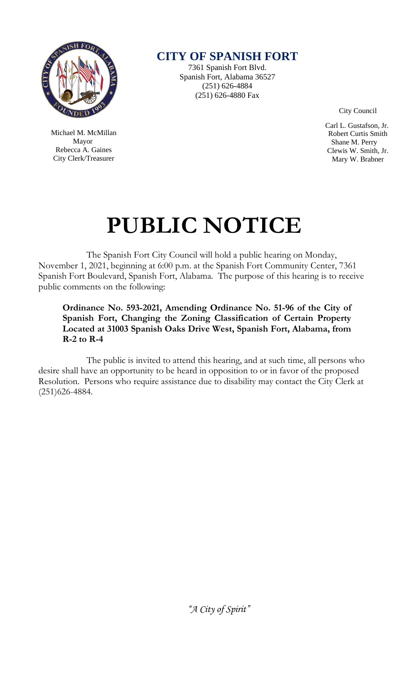

 Michael M. McMillan Mayor Rebecca A. Gaines City Clerk/Treasurer

**CITY OF SPANISH FORT**

7361 Spanish Fort Blvd. Spanish Fort, Alabama 36527 (251) 626-4884 (251) 626-4880 Fax

City Council

 Carl L. Gustafson, Jr. Robert Curtis Smith Shane M. Perry Clewis W. Smith, Jr. Mary W. Brabner

# **PUBLIC NOTICE**

The Spanish Fort City Council will hold a public hearing on Monday, November 1, 2021, beginning at 6:00 p.m. at the Spanish Fort Community Center, 7361 Spanish Fort Boulevard, Spanish Fort, Alabama. The purpose of this hearing is to receive public comments on the following:

**Ordinance No. 593-2021, Amending Ordinance No. 51-96 of the City of Spanish Fort, Changing the Zoning Classification of Certain Property Located at 31003 Spanish Oaks Drive West, Spanish Fort, Alabama, from R-2 to R-4**

The public is invited to attend this hearing, and at such time, all persons who desire shall have an opportunity to be heard in opposition to or in favor of the proposed Resolution. Persons who require assistance due to disability may contact the City Clerk at (251)626-4884.

*"A City of Spirit"*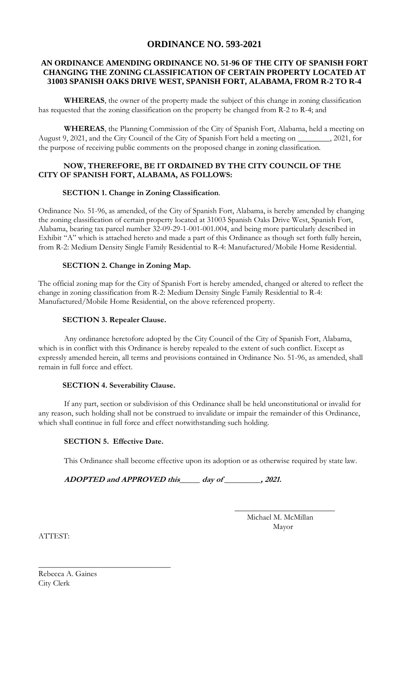# **ORDINANCE NO. 593-2021**

#### **AN ORDINANCE AMENDING ORDINANCE NO. 51-96 OF THE CITY OF SPANISH FORT CHANGING THE ZONING CLASSIFICATION OF CERTAIN PROPERTY LOCATED AT 31003 SPANISH OAKS DRIVE WEST, SPANISH FORT, ALABAMA, FROM R-2 TO R-4**

**WHEREAS**, the owner of the property made the subject of this change in zoning classification has requested that the zoning classification on the property be changed from R-2 to R-4; and

**WHEREAS**, the Planning Commission of the City of Spanish Fort, Alabama, held a meeting on August 9, 2021, and the City Council of the City of Spanish Fort held a meeting on \_\_\_\_\_\_\_\_, 2021, for the purpose of receiving public comments on the proposed change in zoning classification.

### **NOW, THEREFORE, BE IT ORDAINED BY THE CITY COUNCIL OF THE CITY OF SPANISH FORT, ALABAMA, AS FOLLOWS:**

### **SECTION 1. Change in Zoning Classification**.

Ordinance No. 51-96, as amended, of the City of Spanish Fort, Alabama, is hereby amended by changing the zoning classification of certain property located at 31003 Spanish Oaks Drive West, Spanish Fort, Alabama, bearing tax parcel number 32-09-29-1-001-001.004, and being more particularly described in Exhibit "A" which is attached hereto and made a part of this Ordinance as though set forth fully herein, from R-2: Medium Density Single Family Residential to R-4: Manufactured/Mobile Home Residential.

### **SECTION 2. Change in Zoning Map.**

The official zoning map for the City of Spanish Fort is hereby amended, changed or altered to reflect the change in zoning classification from R-2: Medium Density Single Family Residential to R-4: Manufactured/Mobile Home Residential, on the above referenced property.

### **SECTION 3. Repealer Clause.**

Any ordinance heretofore adopted by the City Council of the City of Spanish Fort, Alabama, which is in conflict with this Ordinance is hereby repealed to the extent of such conflict. Except as expressly amended herein, all terms and provisions contained in Ordinance No. 51-96, as amended, shall remain in full force and effect.

#### **SECTION 4. Severability Clause.**

If any part, section or subdivision of this Ordinance shall be held unconstitutional or invalid for any reason, such holding shall not be construed to invalidate or impair the remainder of this Ordinance, which shall continue in full force and effect notwithstanding such holding.

## **SECTION 5. Effective Date.**

\_\_\_\_\_\_\_\_\_\_\_\_\_\_\_\_\_\_\_\_\_\_\_\_\_\_\_\_\_\_\_\_\_

This Ordinance shall become effective upon its adoption or as otherwise required by state law.

**ADOPTED and APPROVED this\_\_\_\_\_ day of \_\_\_\_\_\_\_\_\_, 2021.** 

 Michael M. McMillan Mayor

 **\_\_\_\_\_\_\_\_\_\_\_\_\_\_\_\_\_\_\_\_\_\_\_\_\_**

ATTEST:

Rebecca A. Gaines City Clerk